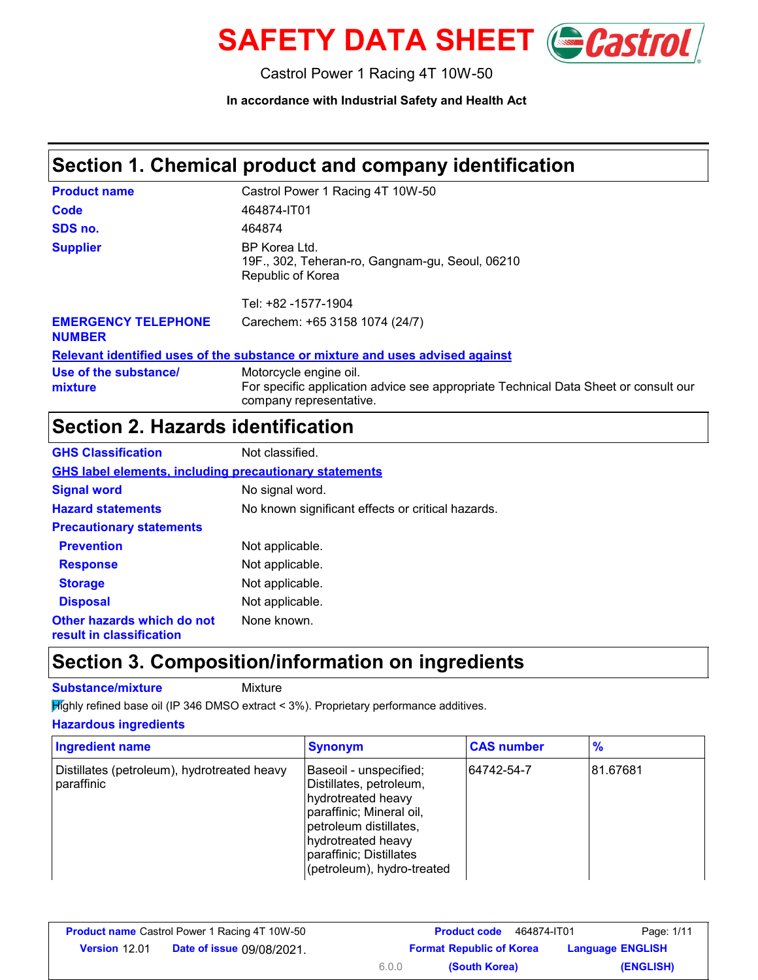

Castrol Power 1 Racing 4T 10W-50

**In accordance with Industrial Safety and Health Act**

# **Section 1. Chemical product and company identification**

| <b>Product name</b>                         | Castrol Power 1 Racing 4T 10W-50                                                                                                         |
|---------------------------------------------|------------------------------------------------------------------------------------------------------------------------------------------|
| Code                                        | 464874-IT01                                                                                                                              |
| SDS no.                                     | 464874                                                                                                                                   |
| <b>Supplier</b>                             | BP Korea Ltd.<br>19F., 302, Teheran-ro, Gangnam-gu, Seoul, 06210<br>Republic of Korea<br>Tel: +82 -1577-1904                             |
| <b>EMERGENCY TELEPHONE</b><br><b>NUMBER</b> | Carechem: +65 3158 1074 (24/7)                                                                                                           |
|                                             | Relevant identified uses of the substance or mixture and uses advised against                                                            |
| Use of the substance/<br>mixture            | Motorcycle engine oil.<br>For specific application advice see appropriate Technical Data Sheet or consult our<br>company representative. |

# **Section 2. Hazards identification**

| <b>GHS Classification</b>                                     | Not classified.                                   |  |
|---------------------------------------------------------------|---------------------------------------------------|--|
| <b>GHS label elements, including precautionary statements</b> |                                                   |  |
| <b>Signal word</b>                                            | No signal word.                                   |  |
| <b>Hazard statements</b>                                      | No known significant effects or critical hazards. |  |
| <b>Precautionary statements</b>                               |                                                   |  |
| <b>Prevention</b>                                             | Not applicable.                                   |  |
| <b>Response</b>                                               | Not applicable.                                   |  |
| <b>Storage</b>                                                | Not applicable.                                   |  |
| <b>Disposal</b>                                               | Not applicable.                                   |  |
| Other hazards which do not<br>result in classification        | None known.                                       |  |

# **Section 3. Composition/information on ingredients**

**Substance/mixture** Mixture

Highly refined base oil (IP 346 DMSO extract < 3%). Proprietary performance additives.

#### **Hazardous ingredients**

| <b>Ingredient name</b>                                    | <b>Synonym</b>                                                                                                                                                                                               | <b>CAS number</b> | $\frac{9}{6}$ |
|-----------------------------------------------------------|--------------------------------------------------------------------------------------------------------------------------------------------------------------------------------------------------------------|-------------------|---------------|
| Distillates (petroleum), hydrotreated heavy<br>paraffinic | Baseoil - unspecified;<br>Distillates, petroleum,<br>hydrotreated heavy<br>paraffinic; Mineral oil,<br>petroleum distillates,<br>hydrotreated heavy<br>paraffinic; Distillates<br>(petroleum), hydro-treated | 64742-54-7        | 81.67681      |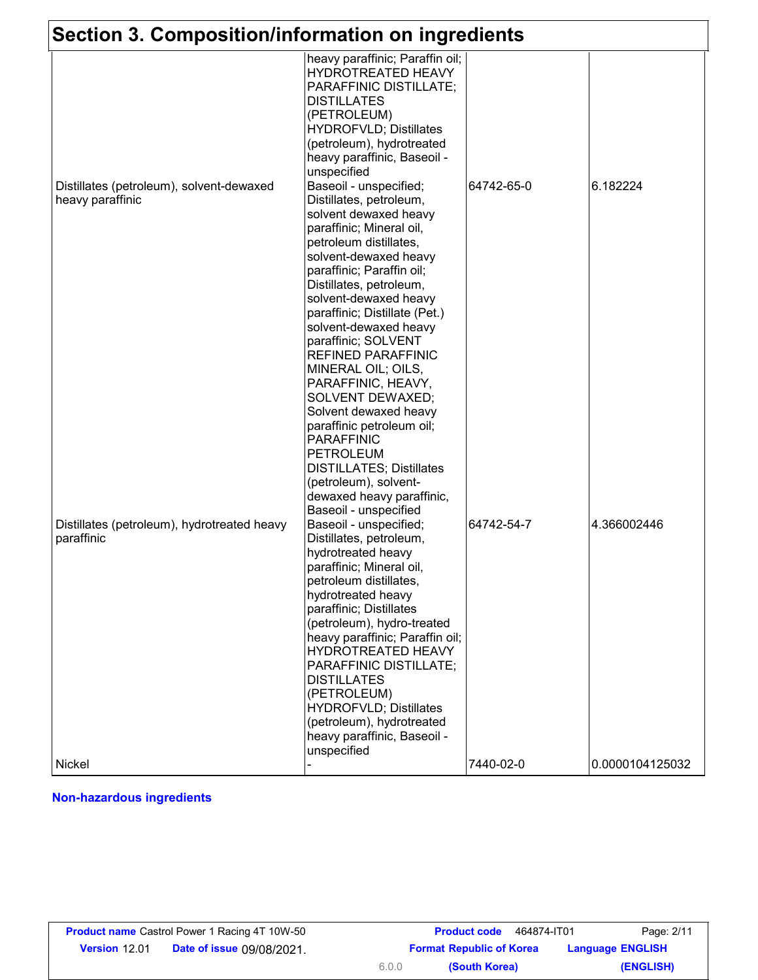| Section 3. Composition/information on ingredients            |                                                                                                                                                                                                                                                                                                                                                                                                                                                                                                                                                                                                                                                                                                                                                                                          |            |                 |
|--------------------------------------------------------------|------------------------------------------------------------------------------------------------------------------------------------------------------------------------------------------------------------------------------------------------------------------------------------------------------------------------------------------------------------------------------------------------------------------------------------------------------------------------------------------------------------------------------------------------------------------------------------------------------------------------------------------------------------------------------------------------------------------------------------------------------------------------------------------|------------|-----------------|
| Distillates (petroleum), solvent-dewaxed<br>heavy paraffinic | heavy paraffinic; Paraffin oil;<br>HYDROTREATED HEAVY<br>PARAFFINIC DISTILLATE;<br><b>DISTILLATES</b><br>(PETROLEUM)<br><b>HYDROFVLD; Distillates</b><br>(petroleum), hydrotreated<br>heavy paraffinic, Baseoil -<br>unspecified<br>Baseoil - unspecified;<br>Distillates, petroleum,<br>solvent dewaxed heavy<br>paraffinic; Mineral oil,<br>petroleum distillates,<br>solvent-dewaxed heavy<br>paraffinic; Paraffin oil;<br>Distillates, petroleum,<br>solvent-dewaxed heavy<br>paraffinic; Distillate (Pet.)                                                                                                                                                                                                                                                                          | 64742-65-0 | 6.182224        |
| Distillates (petroleum), hydrotreated heavy<br>paraffinic    | solvent-dewaxed heavy<br>paraffinic; SOLVENT<br>REFINED PARAFFINIC<br>MINERAL OIL; OILS,<br>PARAFFINIC, HEAVY,<br>SOLVENT DEWAXED;<br>Solvent dewaxed heavy<br>paraffinic petroleum oil;<br><b>PARAFFINIC</b><br><b>PETROLEUM</b><br><b>DISTILLATES; Distillates</b><br>(petroleum), solvent-<br>dewaxed heavy paraffinic,<br>Baseoil - unspecified<br>Baseoil - unspecified;<br>Distillates, petroleum,<br>hydrotreated heavy<br>paraffinic; Mineral oil,<br>petroleum distillates,<br>hydrotreated heavy<br>paraffinic; Distillates<br>(petroleum), hydro-treated<br>heavy paraffinic; Paraffin oil;<br>HYDROTREATED HEAVY<br>PARAFFINIC DISTILLATE;<br><b>DISTILLATES</b><br>(PETROLEUM)<br><b>HYDROFVLD; Distillates</b><br>(petroleum), hydrotreated<br>heavy paraffinic, Baseoil - | 64742-54-7 | 4.366002446     |
| <b>Nickel</b>                                                | unspecified                                                                                                                                                                                                                                                                                                                                                                                                                                                                                                                                                                                                                                                                                                                                                                              | 7440-02-0  | 0.0000104125032 |

### **Non-hazardous ingredients**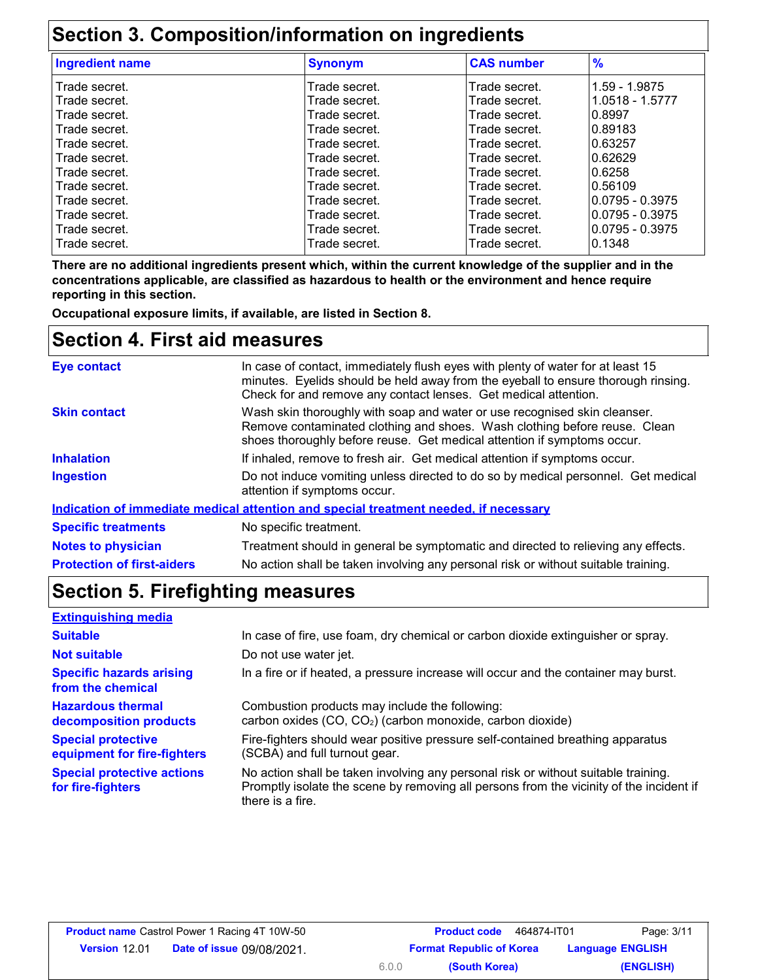# **Section 3. Composition/information on ingredients**

| <b>Ingredient name</b> | <b>Synonym</b> | <b>CAS number</b> | $\frac{9}{6}$     |
|------------------------|----------------|-------------------|-------------------|
| Trade secret.          | Trade secret.  | Trade secret.     | 1.59 - 1.9875     |
| Trade secret.          | Trade secret.  | Trade secret.     | 1.0518 - 1.5777   |
| l Trade secret.        | Trade secret.  | Trade secret.     | 0.8997            |
| Trade secret.          | Trade secret.  | Trade secret.     | 0.89183           |
| l Trade secret.        | Trade secret.  | Trade secret.     | 0.63257           |
| l Trade secret.        | Trade secret.  | Trade secret.     | 0.62629           |
| l Trade secret.        | Trade secret.  | Trade secret.     | 0.6258            |
| Trade secret.          | Trade secret.  | Trade secret.     | 0.56109           |
| Trade secret.          | Trade secret.  | Trade secret.     | $0.0795 - 0.3975$ |
| Trade secret.          | Trade secret.  | Trade secret.     | $0.0795 - 0.3975$ |
| Trade secret.          | Trade secret.  | Trade secret.     | $0.0795 - 0.3975$ |
| Trade secret.          | Trade secret.  | Trade secret.     | 0.1348            |
|                        |                |                   |                   |

**There are no additional ingredients present which, within the current knowledge of the supplier and in the concentrations applicable, are classified as hazardous to health or the environment and hence require reporting in this section.**

**Occupational exposure limits, if available, are listed in Section 8.**

### **Section 4. First aid measures**

| Eye contact                       | In case of contact, immediately flush eyes with plenty of water for at least 15<br>minutes. Eyelids should be held away from the eyeball to ensure thorough rinsing.<br>Check for and remove any contact lenses. Get medical attention. |
|-----------------------------------|-----------------------------------------------------------------------------------------------------------------------------------------------------------------------------------------------------------------------------------------|
| <b>Skin contact</b>               | Wash skin thoroughly with soap and water or use recognised skin cleanser.<br>Remove contaminated clothing and shoes. Wash clothing before reuse. Clean<br>shoes thoroughly before reuse. Get medical attention if symptoms occur.       |
| <b>Inhalation</b>                 | If inhaled, remove to fresh air. Get medical attention if symptoms occur.                                                                                                                                                               |
| <b>Ingestion</b>                  | Do not induce vomiting unless directed to do so by medical personnel. Get medical<br>attention if symptoms occur.                                                                                                                       |
|                                   | Indication of immediate medical attention and special treatment needed, if necessary                                                                                                                                                    |
| <b>Specific treatments</b>        | No specific treatment.                                                                                                                                                                                                                  |
| <b>Notes to physician</b>         | Treatment should in general be symptomatic and directed to relieving any effects.                                                                                                                                                       |
| <b>Protection of first-aiders</b> | No action shall be taken involving any personal risk or without suitable training.                                                                                                                                                      |

# **Section 5. Firefighting measures**

| <b>Extinguishing media</b>                               |                                                                                                                                                                                                   |
|----------------------------------------------------------|---------------------------------------------------------------------------------------------------------------------------------------------------------------------------------------------------|
| <b>Suitable</b>                                          | In case of fire, use foam, dry chemical or carbon dioxide extinguisher or spray.                                                                                                                  |
| <b>Not suitable</b>                                      | Do not use water jet.                                                                                                                                                                             |
| <b>Specific hazards arising</b><br>from the chemical     | In a fire or if heated, a pressure increase will occur and the container may burst.                                                                                                               |
| <b>Hazardous thermal</b><br>decomposition products       | Combustion products may include the following:<br>carbon oxides (CO, CO <sub>2</sub> ) (carbon monoxide, carbon dioxide)                                                                          |
| <b>Special protective</b><br>equipment for fire-fighters | Fire-fighters should wear positive pressure self-contained breathing apparatus<br>(SCBA) and full turnout gear.                                                                                   |
| <b>Special protective actions</b><br>for fire-fighters   | No action shall be taken involving any personal risk or without suitable training.<br>Promptly isolate the scene by removing all persons from the vicinity of the incident if<br>there is a fire. |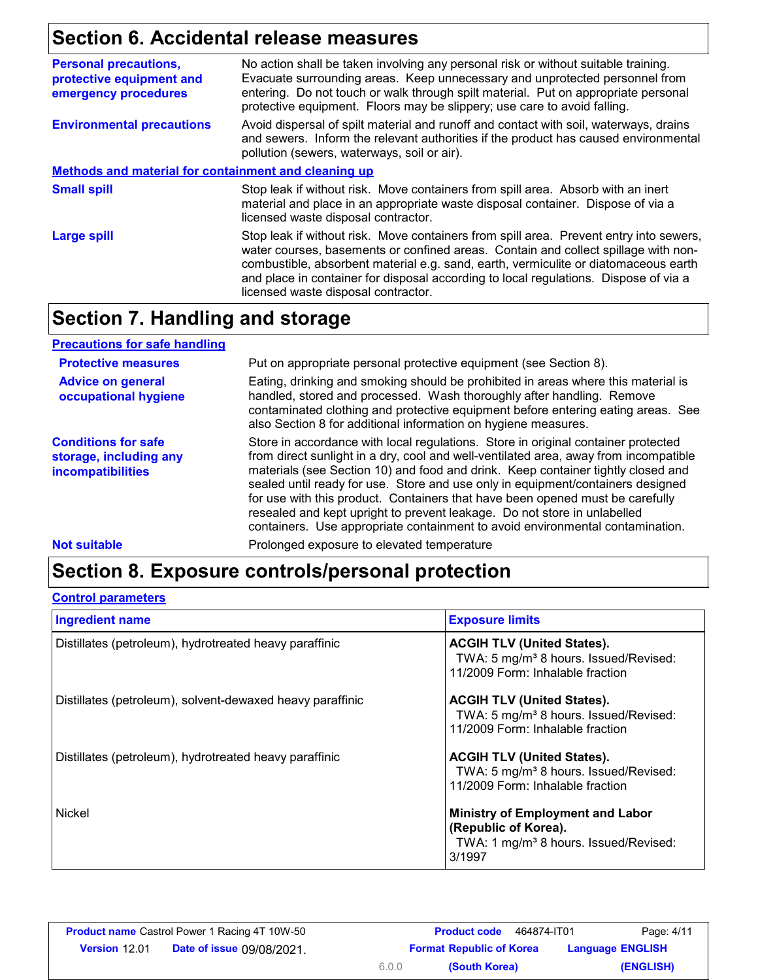# **Section 6. Accidental release measures**

| <b>Personal precautions,</b><br>protective equipment and<br>emergency procedures | No action shall be taken involving any personal risk or without suitable training.<br>Evacuate surrounding areas. Keep unnecessary and unprotected personnel from<br>entering. Do not touch or walk through spilt material. Put on appropriate personal<br>protective equipment. Floors may be slippery; use care to avoid falling.                                                                |  |
|----------------------------------------------------------------------------------|----------------------------------------------------------------------------------------------------------------------------------------------------------------------------------------------------------------------------------------------------------------------------------------------------------------------------------------------------------------------------------------------------|--|
| <b>Environmental precautions</b>                                                 | Avoid dispersal of spilt material and runoff and contact with soil, waterways, drains<br>and sewers. Inform the relevant authorities if the product has caused environmental<br>pollution (sewers, waterways, soil or air).                                                                                                                                                                        |  |
| Methods and material for containment and cleaning up                             |                                                                                                                                                                                                                                                                                                                                                                                                    |  |
| <b>Small spill</b>                                                               | Stop leak if without risk. Move containers from spill area. Absorb with an inert<br>material and place in an appropriate waste disposal container. Dispose of via a<br>licensed waste disposal contractor.                                                                                                                                                                                         |  |
| Large spill                                                                      | Stop leak if without risk. Move containers from spill area. Prevent entry into sewers,<br>water courses, basements or confined areas. Contain and collect spillage with non-<br>combustible, absorbent material e.g. sand, earth, vermiculite or diatomaceous earth<br>and place in container for disposal according to local regulations. Dispose of via a<br>licensed waste disposal contractor. |  |

### **Section 7. Handling and storage**

| <b>Precautions for safe handling</b>                                             |                                                                                                                                                                                                                                                                                                                                                                                                                                                                                                                                                                                                |
|----------------------------------------------------------------------------------|------------------------------------------------------------------------------------------------------------------------------------------------------------------------------------------------------------------------------------------------------------------------------------------------------------------------------------------------------------------------------------------------------------------------------------------------------------------------------------------------------------------------------------------------------------------------------------------------|
| <b>Protective measures</b>                                                       | Put on appropriate personal protective equipment (see Section 8).                                                                                                                                                                                                                                                                                                                                                                                                                                                                                                                              |
| <b>Advice on general</b><br>occupational hygiene                                 | Eating, drinking and smoking should be prohibited in areas where this material is<br>handled, stored and processed. Wash thoroughly after handling. Remove<br>contaminated clothing and protective equipment before entering eating areas. See<br>also Section 8 for additional information on hygiene measures.                                                                                                                                                                                                                                                                               |
| <b>Conditions for safe</b><br>storage, including any<br><b>incompatibilities</b> | Store in accordance with local regulations. Store in original container protected<br>from direct sunlight in a dry, cool and well-ventilated area, away from incompatible<br>materials (see Section 10) and food and drink. Keep container tightly closed and<br>sealed until ready for use. Store and use only in equipment/containers designed<br>for use with this product. Containers that have been opened must be carefully<br>resealed and kept upright to prevent leakage. Do not store in unlabelled<br>containers. Use appropriate containment to avoid environmental contamination. |
| <b>Not suitable</b>                                                              | Prolonged exposure to elevated temperature                                                                                                                                                                                                                                                                                                                                                                                                                                                                                                                                                     |

# **Section 8. Exposure controls/personal protection**

#### **Control parameters**

| <b>Ingredient name</b>                                    | <b>Exposure limits</b>                                                                                                         |
|-----------------------------------------------------------|--------------------------------------------------------------------------------------------------------------------------------|
| Distillates (petroleum), hydrotreated heavy paraffinic    | <b>ACGIH TLV (United States).</b><br>TWA: 5 mg/m <sup>3</sup> 8 hours. Issued/Revised:<br>11/2009 Form: Inhalable fraction     |
| Distillates (petroleum), solvent-dewaxed heavy paraffinic | <b>ACGIH TLV (United States).</b><br>TWA: 5 mg/m <sup>3</sup> 8 hours. Issued/Revised:<br>11/2009 Form: Inhalable fraction     |
| Distillates (petroleum), hydrotreated heavy paraffinic    | <b>ACGIH TLV (United States).</b><br>TWA: 5 mg/m <sup>3</sup> 8 hours. Issued/Revised:<br>11/2009 Form: Inhalable fraction     |
| <b>Nickel</b>                                             | <b>Ministry of Employment and Labor</b><br>(Republic of Korea).<br>TWA: 1 mg/m <sup>3</sup> 8 hours. Issued/Revised:<br>3/1997 |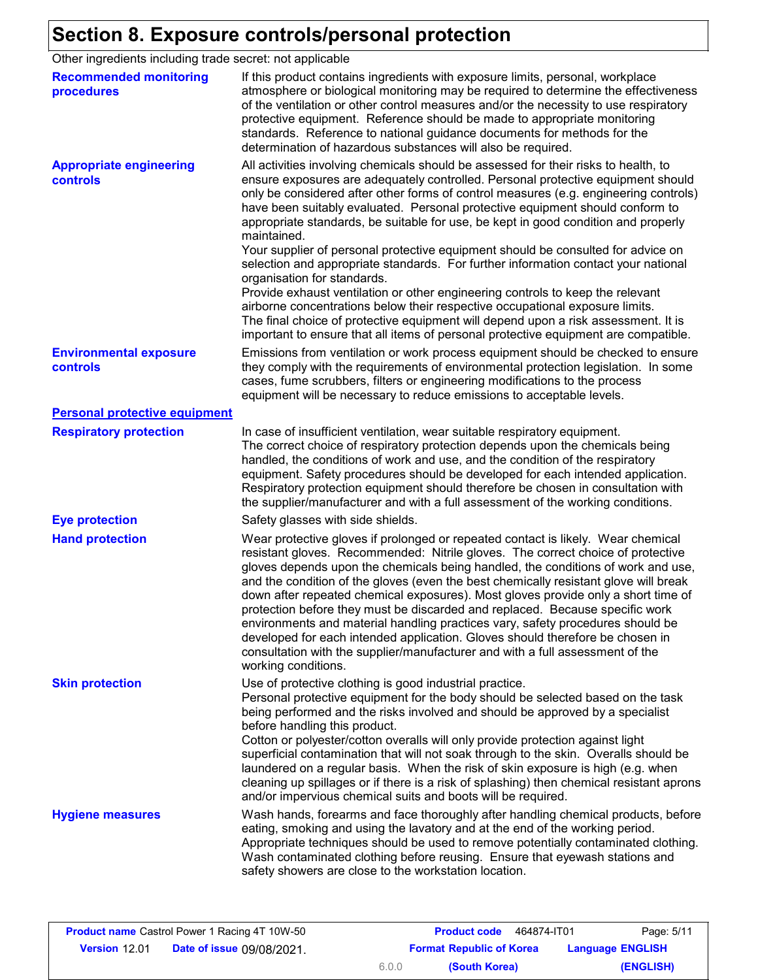# **Section 8. Exposure controls/personal protection**

Other ingredients including trade secret: not applicable

| <b>Recommended monitoring</b><br>procedures       | If this product contains ingredients with exposure limits, personal, workplace<br>atmosphere or biological monitoring may be required to determine the effectiveness<br>of the ventilation or other control measures and/or the necessity to use respiratory<br>protective equipment. Reference should be made to appropriate monitoring<br>standards. Reference to national guidance documents for methods for the<br>determination of hazardous substances will also be required.                                                                                                                                                                                                                                                                                                                                                                                                                                                                                                                           |
|---------------------------------------------------|---------------------------------------------------------------------------------------------------------------------------------------------------------------------------------------------------------------------------------------------------------------------------------------------------------------------------------------------------------------------------------------------------------------------------------------------------------------------------------------------------------------------------------------------------------------------------------------------------------------------------------------------------------------------------------------------------------------------------------------------------------------------------------------------------------------------------------------------------------------------------------------------------------------------------------------------------------------------------------------------------------------|
| <b>Appropriate engineering</b><br><b>controls</b> | All activities involving chemicals should be assessed for their risks to health, to<br>ensure exposures are adequately controlled. Personal protective equipment should<br>only be considered after other forms of control measures (e.g. engineering controls)<br>have been suitably evaluated. Personal protective equipment should conform to<br>appropriate standards, be suitable for use, be kept in good condition and properly<br>maintained.<br>Your supplier of personal protective equipment should be consulted for advice on<br>selection and appropriate standards. For further information contact your national<br>organisation for standards.<br>Provide exhaust ventilation or other engineering controls to keep the relevant<br>airborne concentrations below their respective occupational exposure limits.<br>The final choice of protective equipment will depend upon a risk assessment. It is<br>important to ensure that all items of personal protective equipment are compatible. |
| <b>Environmental exposure</b><br>controls         | Emissions from ventilation or work process equipment should be checked to ensure<br>they comply with the requirements of environmental protection legislation. In some<br>cases, fume scrubbers, filters or engineering modifications to the process<br>equipment will be necessary to reduce emissions to acceptable levels.                                                                                                                                                                                                                                                                                                                                                                                                                                                                                                                                                                                                                                                                                 |
| <b>Personal protective equipment</b>              |                                                                                                                                                                                                                                                                                                                                                                                                                                                                                                                                                                                                                                                                                                                                                                                                                                                                                                                                                                                                               |
| <b>Respiratory protection</b>                     | In case of insufficient ventilation, wear suitable respiratory equipment.<br>The correct choice of respiratory protection depends upon the chemicals being<br>handled, the conditions of work and use, and the condition of the respiratory<br>equipment. Safety procedures should be developed for each intended application.<br>Respiratory protection equipment should therefore be chosen in consultation with<br>the supplier/manufacturer and with a full assessment of the working conditions.                                                                                                                                                                                                                                                                                                                                                                                                                                                                                                         |
| <b>Eye protection</b>                             | Safety glasses with side shields.                                                                                                                                                                                                                                                                                                                                                                                                                                                                                                                                                                                                                                                                                                                                                                                                                                                                                                                                                                             |
| <b>Hand protection</b>                            | Wear protective gloves if prolonged or repeated contact is likely. Wear chemical<br>resistant gloves. Recommended: Nitrile gloves. The correct choice of protective<br>gloves depends upon the chemicals being handled, the conditions of work and use,<br>and the condition of the gloves (even the best chemically resistant glove will break<br>down after repeated chemical exposures). Most gloves provide only a short time of<br>protection before they must be discarded and replaced. Because specific work<br>environments and material handling practices vary, safety procedures should be<br>developed for each intended application. Gloves should therefore be chosen in<br>consultation with the supplier/manufacturer and with a full assessment of the<br>working conditions.                                                                                                                                                                                                               |
| <b>Skin protection</b>                            | Use of protective clothing is good industrial practice.<br>Personal protective equipment for the body should be selected based on the task<br>being performed and the risks involved and should be approved by a specialist<br>before handling this product.<br>Cotton or polyester/cotton overalls will only provide protection against light<br>superficial contamination that will not soak through to the skin. Overalls should be<br>laundered on a regular basis. When the risk of skin exposure is high (e.g. when<br>cleaning up spillages or if there is a risk of splashing) then chemical resistant aprons<br>and/or impervious chemical suits and boots will be required.                                                                                                                                                                                                                                                                                                                         |
| <b>Hygiene measures</b>                           | Wash hands, forearms and face thoroughly after handling chemical products, before<br>eating, smoking and using the lavatory and at the end of the working period.<br>Appropriate techniques should be used to remove potentially contaminated clothing.<br>Wash contaminated clothing before reusing. Ensure that eyewash stations and<br>safety showers are close to the workstation location.                                                                                                                                                                                                                                                                                                                                                                                                                                                                                                                                                                                                               |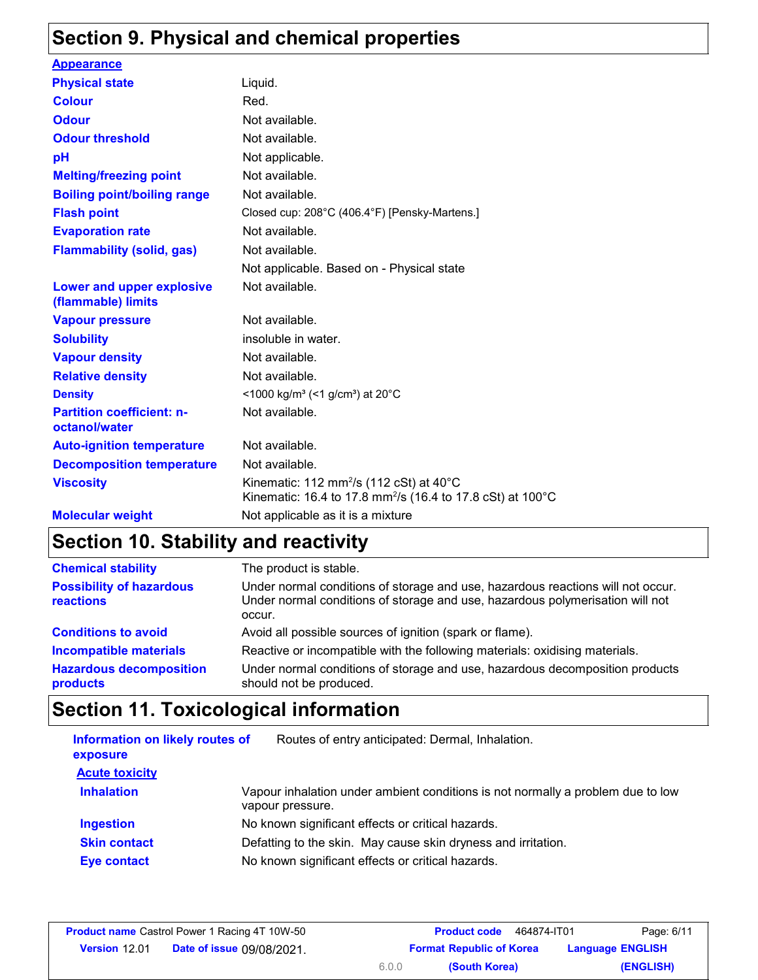# **Section 9. Physical and chemical properties**

| <b>Appearance</b>                                 |                                                                                                                                         |
|---------------------------------------------------|-----------------------------------------------------------------------------------------------------------------------------------------|
| <b>Physical state</b>                             | Liquid.                                                                                                                                 |
| <b>Colour</b>                                     | Red.                                                                                                                                    |
| <b>Odour</b>                                      | Not available.                                                                                                                          |
| <b>Odour threshold</b>                            | Not available.                                                                                                                          |
| рH                                                | Not applicable.                                                                                                                         |
| <b>Melting/freezing point</b>                     | Not available.                                                                                                                          |
| <b>Boiling point/boiling range</b>                | Not available.                                                                                                                          |
| <b>Flash point</b>                                | Closed cup: 208°C (406.4°F) [Pensky-Martens.]                                                                                           |
| <b>Evaporation rate</b>                           | Not available.                                                                                                                          |
| <b>Flammability (solid, gas)</b>                  | Not available.                                                                                                                          |
|                                                   | Not applicable. Based on - Physical state                                                                                               |
| Lower and upper explosive<br>(flammable) limits   | Not available.                                                                                                                          |
| <b>Vapour pressure</b>                            | Not available.                                                                                                                          |
| <b>Solubility</b>                                 | insoluble in water.                                                                                                                     |
| <b>Vapour density</b>                             | Not available.                                                                                                                          |
| <b>Relative density</b>                           | Not available.                                                                                                                          |
| <b>Density</b>                                    | <1000 kg/m <sup>3</sup> (<1 g/cm <sup>3</sup> ) at 20 <sup>°</sup> C                                                                    |
| <b>Partition coefficient: n-</b><br>octanol/water | Not available.                                                                                                                          |
| <b>Auto-ignition temperature</b>                  | Not available.                                                                                                                          |
| <b>Decomposition temperature</b>                  | Not available.                                                                                                                          |
| <b>Viscosity</b>                                  | Kinematic: 112 mm <sup>2</sup> /s (112 cSt) at $40^{\circ}$ C<br>Kinematic: 16.4 to 17.8 mm <sup>2</sup> /s (16.4 to 17.8 cSt) at 100°C |
| <b>Molecular weight</b>                           | Not applicable as it is a mixture                                                                                                       |

# **Section 10. Stability and reactivity**

| <b>Chemical stability</b>                    | The product is stable.                                                                                                                                                     |
|----------------------------------------------|----------------------------------------------------------------------------------------------------------------------------------------------------------------------------|
| <b>Possibility of hazardous</b><br>reactions | Under normal conditions of storage and use, hazardous reactions will not occur.<br>Under normal conditions of storage and use, hazardous polymerisation will not<br>occur. |
| <b>Conditions to avoid</b>                   | Avoid all possible sources of ignition (spark or flame).                                                                                                                   |
| <b>Incompatible materials</b>                | Reactive or incompatible with the following materials: oxidising materials.                                                                                                |
| <b>Hazardous decomposition</b><br>products   | Under normal conditions of storage and use, hazardous decomposition products<br>should not be produced.                                                                    |

# **Section 11. Toxicological information**

| Information on likely routes of<br>exposure | Routes of entry anticipated: Dermal, Inhalation.                                                    |
|---------------------------------------------|-----------------------------------------------------------------------------------------------------|
| <b>Acute toxicity</b>                       |                                                                                                     |
| <b>Inhalation</b>                           | Vapour inhalation under ambient conditions is not normally a problem due to low<br>vapour pressure. |
| <b>Ingestion</b>                            | No known significant effects or critical hazards.                                                   |
| <b>Skin contact</b>                         | Defatting to the skin. May cause skin dryness and irritation.                                       |
| Eye contact                                 | No known significant effects or critical hazards.                                                   |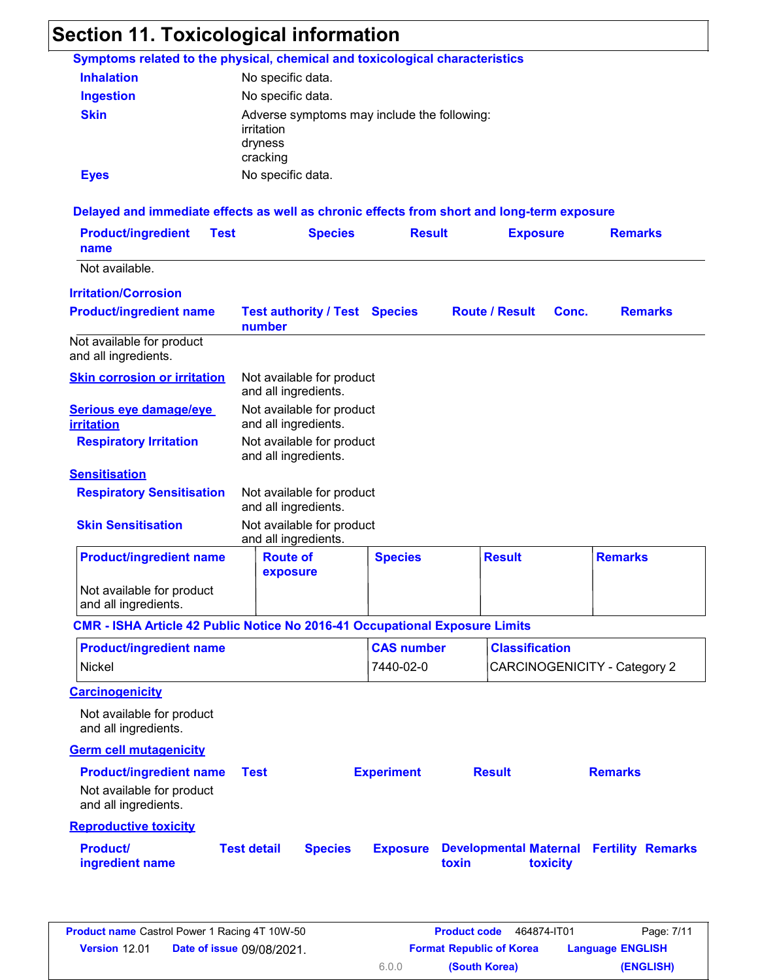#### **Section 11. Toxicological information** Not available. **Product/ingredient name Test Species Result Exposure Ingestion Inhalation** No specific data. No specific data. Adverse symptoms may include the following: irritation dryness cracking No specific data. **Symptoms related to the physical, chemical and toxicological characteristics Skin Eyes Delayed and immediate effects as well as chronic effects from short and long-term exposure Skin corrosion or irritation Serious eye damage/eye irritation Respiratory Irritation Sensitisation** Not available for product and all ingredients. Not available for product and all ingredients. Not available for product and all ingredients. **Respiratory Sensitisation** Not available for product and all ingredients. **Skin Sensitisation** Not available for product and all ingredients. Not available for product and all ingredients. **Product/ingredient name Test authority / Test number Species Route / Result Conc. Remarks Remarks Irritation/Corrosion** Not available for product and all ingredients. **Product/ingredient name | Route of exposure Species Result Remarks**

#### **CMR - ISHA Article 42 Public Notice No 2016-41 Occupational Exposure Limits**

| <b>Product/ingredient name</b> | <b>CAS number</b> | <b>Classification</b>        |
|--------------------------------|-------------------|------------------------------|
| Nickel                         | 7440-02-0         | CARCINOGENICITY - Category 2 |

**Carcinogenicity**

Not available for product and all ingredients.

**Germ cell mutagenicity**

| <b>Product/ingredient name</b>                    | Test               |                | <b>Experiment</b> | <b>Result</b>                                                                      | <b>Remarks</b> |  |
|---------------------------------------------------|--------------------|----------------|-------------------|------------------------------------------------------------------------------------|----------------|--|
| Not available for product<br>and all ingredients. |                    |                |                   |                                                                                    |                |  |
| <b>Reproductive toxicity</b>                      |                    |                |                   |                                                                                    |                |  |
| <b>Product/</b><br>ingredient name                | <b>Test detail</b> | <b>Species</b> | <b>Exposure</b>   | <b>Developmental Maternal Fertility Remarks</b><br><b>toxicity</b><br><b>toxin</b> |                |  |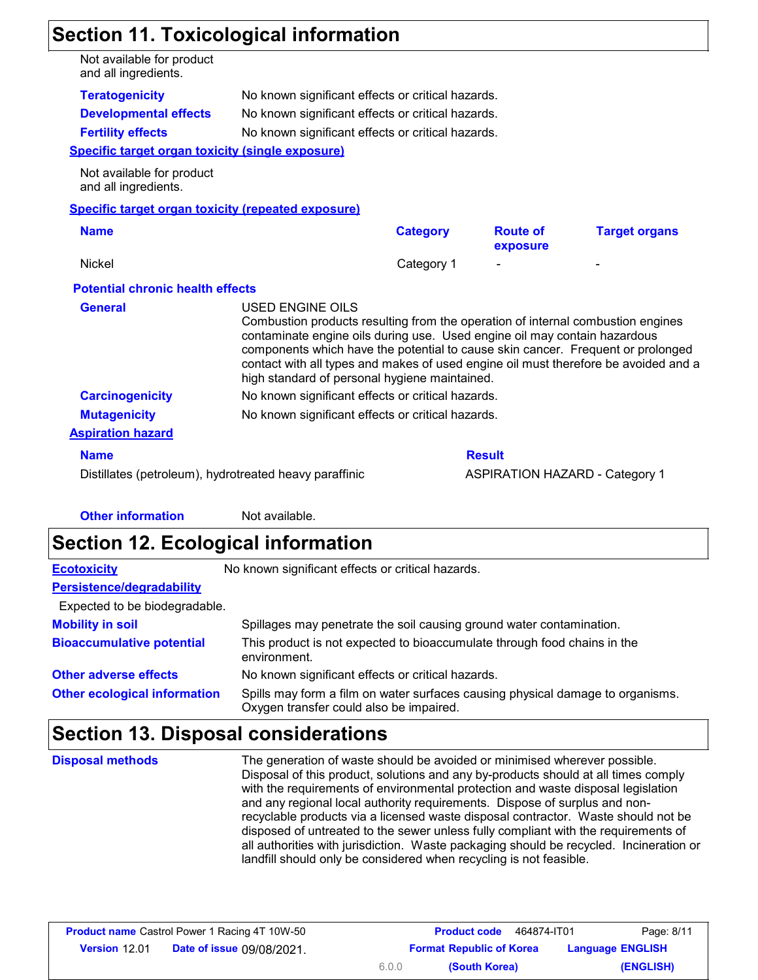# **Section 11. Toxicological information**

| Not available for product<br>and all ingredients.       |                  |                                                                                                                                                                                                               |                             |                                                                                                                                                                        |
|---------------------------------------------------------|------------------|---------------------------------------------------------------------------------------------------------------------------------------------------------------------------------------------------------------|-----------------------------|------------------------------------------------------------------------------------------------------------------------------------------------------------------------|
| <b>Teratogenicity</b>                                   |                  | No known significant effects or critical hazards.                                                                                                                                                             |                             |                                                                                                                                                                        |
| <b>Developmental effects</b>                            |                  | No known significant effects or critical hazards.                                                                                                                                                             |                             |                                                                                                                                                                        |
| <b>Fertility effects</b>                                |                  | No known significant effects or critical hazards.                                                                                                                                                             |                             |                                                                                                                                                                        |
| <b>Specific target organ toxicity (single exposure)</b> |                  |                                                                                                                                                                                                               |                             |                                                                                                                                                                        |
| Not available for product<br>and all ingredients.       |                  |                                                                                                                                                                                                               |                             |                                                                                                                                                                        |
| Specific target organ toxicity (repeated exposure)      |                  |                                                                                                                                                                                                               |                             |                                                                                                                                                                        |
| <b>Name</b>                                             |                  | <b>Category</b>                                                                                                                                                                                               | <b>Route of</b><br>exposure | <b>Target organs</b>                                                                                                                                                   |
| <b>Nickel</b>                                           |                  | Category 1                                                                                                                                                                                                    |                             |                                                                                                                                                                        |
| <b>Potential chronic health effects</b>                 |                  |                                                                                                                                                                                                               |                             |                                                                                                                                                                        |
| <b>General</b>                                          | USED ENGINE OILS | Combustion products resulting from the operation of internal combustion engines<br>contaminate engine oils during use. Used engine oil may contain hazardous<br>high standard of personal hygiene maintained. |                             | components which have the potential to cause skin cancer. Frequent or prolonged<br>contact with all types and makes of used engine oil must therefore be avoided and a |
| <b>Carcinogenicity</b>                                  |                  | No known significant effects or critical hazards.                                                                                                                                                             |                             |                                                                                                                                                                        |
| <b>Mutagenicity</b>                                     |                  | No known significant effects or critical hazards.                                                                                                                                                             |                             |                                                                                                                                                                        |
| <b>Aspiration hazard</b>                                |                  |                                                                                                                                                                                                               |                             |                                                                                                                                                                        |
|                                                         |                  |                                                                                                                                                                                                               |                             |                                                                                                                                                                        |
| <b>Name</b>                                             |                  |                                                                                                                                                                                                               | <b>Result</b>               |                                                                                                                                                                        |

**Other information** Not available.

# **Section 12. Ecological information**

| <b>Ecotoxicity</b>                  | No known significant effects or critical hazards.                                                                         |
|-------------------------------------|---------------------------------------------------------------------------------------------------------------------------|
| Persistence/degradability           |                                                                                                                           |
| Expected to be biodegradable.       |                                                                                                                           |
| <b>Mobility in soil</b>             | Spillages may penetrate the soil causing ground water contamination.                                                      |
| <b>Bioaccumulative potential</b>    | This product is not expected to bioaccumulate through food chains in the<br>environment.                                  |
| <b>Other adverse effects</b>        | No known significant effects or critical hazards.                                                                         |
| <b>Other ecological information</b> | Spills may form a film on water surfaces causing physical damage to organisms.<br>Oxygen transfer could also be impaired. |

# **Section 13. Disposal considerations**

The generation of waste should be avoided or minimised wherever possible. Disposal of this product, solutions and any by-products should at all times comply with the requirements of environmental protection and waste disposal legislation and any regional local authority requirements. Dispose of surplus and nonrecyclable products via a licensed waste disposal contractor. Waste should not be disposed of untreated to the sewer unless fully compliant with the requirements of all authorities with jurisdiction. Waste packaging should be recycled. Incineration or landfill should only be considered when recycling is not feasible. **Disposal methods**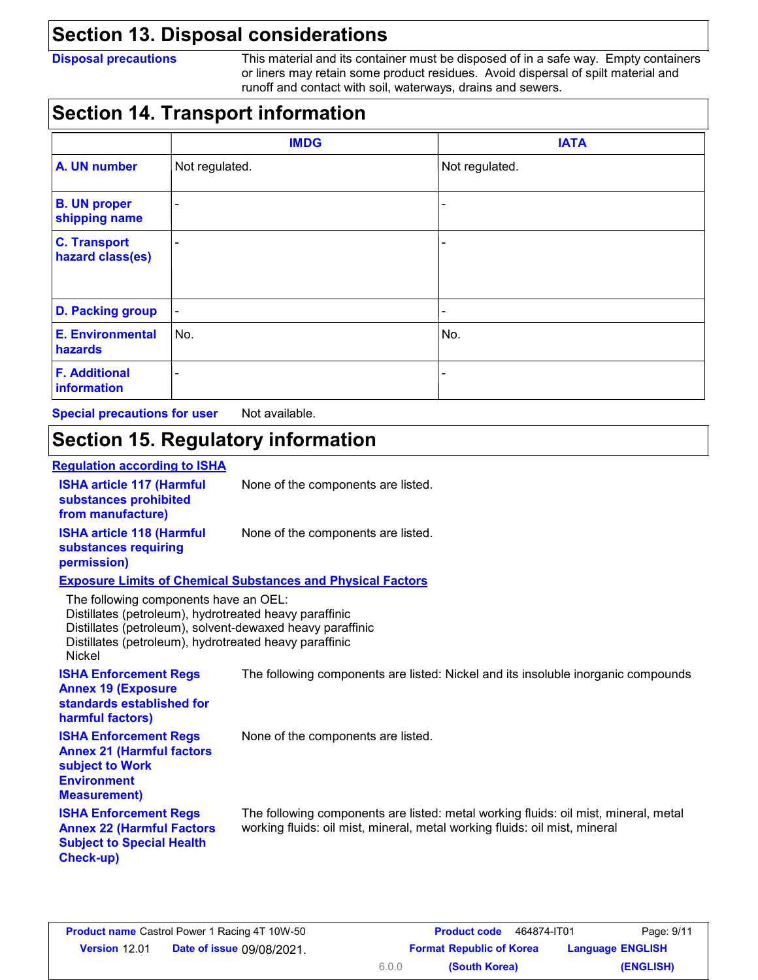### **Section 13. Disposal considerations**

**Disposal precautions** This material and its container must be disposed of in a safe way. Empty containers or liners may retain some product residues. Avoid dispersal of spilt material and runoff and contact with soil, waterways, drains and sewers.

### **Section 14. Transport information**

|                                         | <b>IMDG</b>              | <b>IATA</b>    |
|-----------------------------------------|--------------------------|----------------|
| A. UN number                            | Not regulated.           | Not regulated. |
| <b>B. UN proper</b><br>shipping name    | -                        |                |
| <b>C. Transport</b><br>hazard class(es) | $\overline{\phantom{0}}$ |                |
| <b>D. Packing group</b>                 | $\blacksquare$           |                |
| <b>E. Environmental</b><br>hazards      | No.                      | No.            |
| <b>F. Additional</b><br>information     | -                        |                |

**Special precautions for user** Not available.

# **Section 15. Regulatory information**

#### **Regulation according to ISHA**

| <b>ISHA article 117 (Harmful</b><br>substances prohibited<br>from manufacture)                                                                                                                                                          | None of the components are listed.                                                                                                                                |
|-----------------------------------------------------------------------------------------------------------------------------------------------------------------------------------------------------------------------------------------|-------------------------------------------------------------------------------------------------------------------------------------------------------------------|
| <b>ISHA article 118 (Harmful</b><br>substances requiring<br>permission)                                                                                                                                                                 | None of the components are listed.                                                                                                                                |
|                                                                                                                                                                                                                                         | <b>Exposure Limits of Chemical Substances and Physical Factors</b>                                                                                                |
| The following components have an OEL:<br>Distillates (petroleum), hydrotreated heavy paraffinic<br>Distillates (petroleum), solvent-dewaxed heavy paraffinic<br>Distillates (petroleum), hydrotreated heavy paraffinic<br><b>Nickel</b> |                                                                                                                                                                   |
| <b>ISHA Enforcement Regs</b><br><b>Annex 19 (Exposure</b><br>standards established for<br>harmful factors)                                                                                                                              | The following components are listed: Nickel and its insoluble inorganic compounds                                                                                 |
| <b>ISHA Enforcement Regs</b><br><b>Annex 21 (Harmful factors</b><br>subject to Work<br><b>Environment</b><br><b>Measurement)</b>                                                                                                        | None of the components are listed.                                                                                                                                |
| <b>ISHA Enforcement Regs</b><br><b>Annex 22 (Harmful Factors</b><br><b>Subject to Special Health</b><br>Check-up)                                                                                                                       | The following components are listed: metal working fluids: oil mist, mineral, metal<br>working fluids: oil mist, mineral, metal working fluids: oil mist, mineral |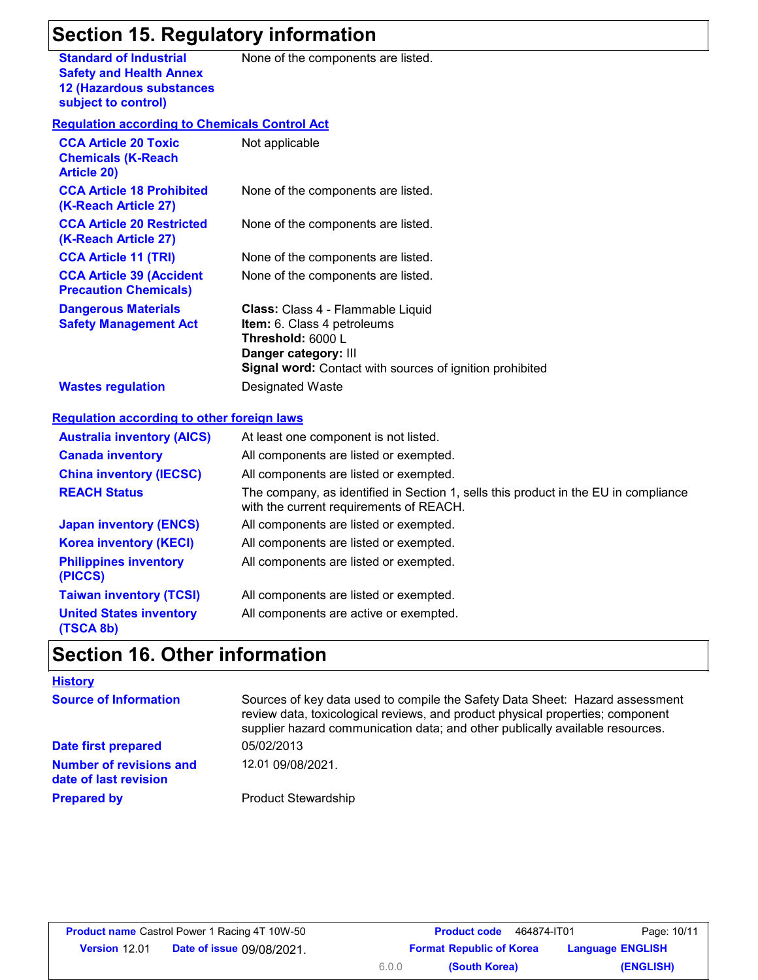# **Section 15. Regulatory information**

**Standard of Industrial Safety and Health Annex 12 (Hazardous substances subject to control)**

None of the components are listed.

#### **Regulation according to Chemicals Control Act**

| <b>CCA Article 20 Toxic</b><br><b>Chemicals (K-Reach</b><br><b>Article 20)</b> | Not applicable                                                                                                                                                                                 |
|--------------------------------------------------------------------------------|------------------------------------------------------------------------------------------------------------------------------------------------------------------------------------------------|
| <b>CCA Article 18 Prohibited</b><br>(K-Reach Article 27)                       | None of the components are listed.                                                                                                                                                             |
| <b>CCA Article 20 Restricted</b><br>(K-Reach Article 27)                       | None of the components are listed.                                                                                                                                                             |
| <b>CCA Article 11 (TRI)</b>                                                    | None of the components are listed.                                                                                                                                                             |
| <b>CCA Article 39 (Accident</b><br><b>Precaution Chemicals)</b>                | None of the components are listed.                                                                                                                                                             |
| <b>Dangerous Materials</b><br><b>Safety Management Act</b>                     | <b>Class:</b> Class 4 - Flammable Liquid<br><b>Item:</b> 6. Class 4 petroleums<br>Threshold: 6000 L<br>Danger category: III<br><b>Signal word:</b> Contact with sources of ignition prohibited |
| <b>Wastes regulation</b>                                                       | Designated Waste                                                                                                                                                                               |

#### **Regulation according to other foreign laws**

| <b>Australia inventory (AICS)</b>           | At least one component is not listed.                                                                                          |
|---------------------------------------------|--------------------------------------------------------------------------------------------------------------------------------|
| <b>Canada inventory</b>                     | All components are listed or exempted.                                                                                         |
| <b>China inventory (IECSC)</b>              | All components are listed or exempted.                                                                                         |
| <b>REACH Status</b>                         | The company, as identified in Section 1, sells this product in the EU in compliance<br>with the current requirements of REACH. |
| <b>Japan inventory (ENCS)</b>               | All components are listed or exempted.                                                                                         |
| <b>Korea inventory (KECI)</b>               | All components are listed or exempted.                                                                                         |
| <b>Philippines inventory</b><br>(PICCS)     | All components are listed or exempted.                                                                                         |
| <b>Taiwan inventory (TCSI)</b>              | All components are listed or exempted.                                                                                         |
| <b>United States inventory</b><br>(TSCA 8b) | All components are active or exempted.                                                                                         |

# **Section 16. Other information**

| <b>History</b>                                          |                                                                                                                                                                                                                                                 |
|---------------------------------------------------------|-------------------------------------------------------------------------------------------------------------------------------------------------------------------------------------------------------------------------------------------------|
| <b>Source of Information</b>                            | Sources of key data used to compile the Safety Data Sheet: Hazard assessment<br>review data, toxicological reviews, and product physical properties; component<br>supplier hazard communication data; and other publically available resources. |
| Date first prepared                                     | 05/02/2013                                                                                                                                                                                                                                      |
| <b>Number of revisions and</b><br>date of last revision | 12.01 09/08/2021.                                                                                                                                                                                                                               |
| <b>Prepared by</b>                                      | <b>Product Stewardship</b>                                                                                                                                                                                                                      |